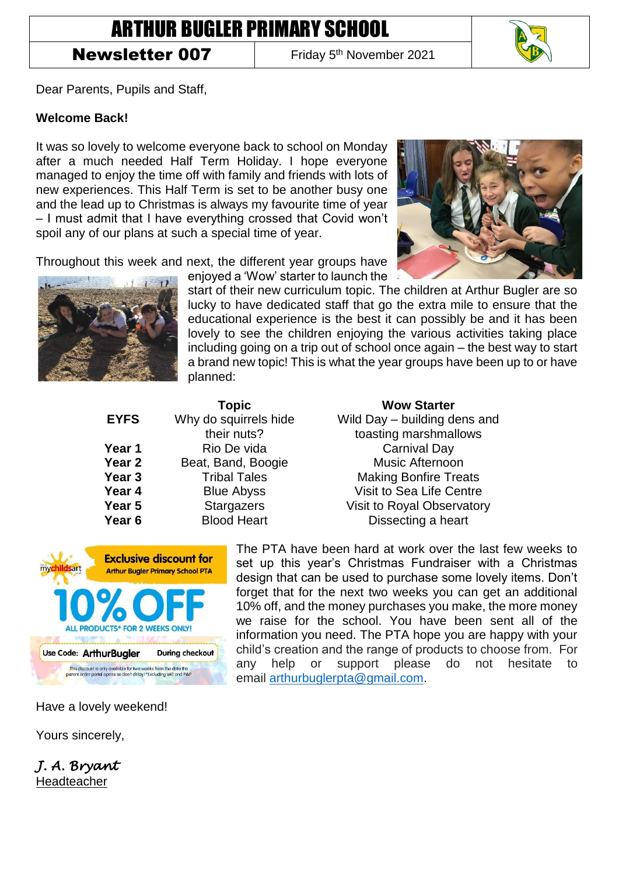## ARTHUR BUGLER PRIMARY SCHOOL

## Newsletter 007

Friday 5<sup>th</sup> November 2021



Dear Parents, Pupils and Staff,

## **Welcome Back!**

It was so lovely to welcome everyone back to school on Monday after a much needed Half Term Holiday. I hope everyone managed to enjoy the time off with family and friends with lots of new experiences. This Half Term is set to be another busy one and the lead up to Christmas is always my favourite time of year – I must admit that I have everything crossed that Covid won't spoil any of our plans at such a special time of year.

Throughout this week and next, the different year groups have



enjoyed a 'Wow' starter to launch the start of their new curriculum topic. The children at Arthur Bugler are so lucky to have dedicated staff that go the extra mile to ensure that the educational experience is the best it can possibly be and it has been lovely to see the children enjoying the various activities taking place including going on a trip out of school once again – the best way to start a brand new topic! This is what the year groups have been up to or have planned:

|                   | <b>Topic</b>          |
|-------------------|-----------------------|
| <b>EYFS</b>       | Why do squirrels hide |
|                   | their nuts?           |
| Year 1            | Rio De vida           |
| Year 2            | Beat, Band, Boogie    |
| Year <sub>3</sub> | <b>Tribal Tales</b>   |
| Year 4            | <b>Blue Abyss</b>     |
| Year 5            | <b>Stargazers</b>     |
| Year <sub>6</sub> | <b>Blood Heart</b>    |

**Topic Wow Starter** Wild Day – building dens and toasting marshmallows **Carnival Dav Music Afternoon Making Bonfire Treats Visit to Sea Life Centre Visit to Royal Observatory Dissecting a heart** 



The PTA have been hard at work over the last few weeks to set up this year's Christmas Fundraiser with a Christmas design that can be used to purchase some lovely items. Don't forget that for the next two weeks you can get an additional 10% off, and the money purchases you make, the more money we raise for the school. You have been sent all of the information you need. The PTA hope you are happy with your child's creation and the range of products to choose from. For any help or support please do not hesitate to email [arthurbuglerpta@gmail.com.](mailto:arthurbuglerpta@gmail.com)

Have a lovely weekend!

Yours sincerely,

*J. A. Bryant*  Headteacher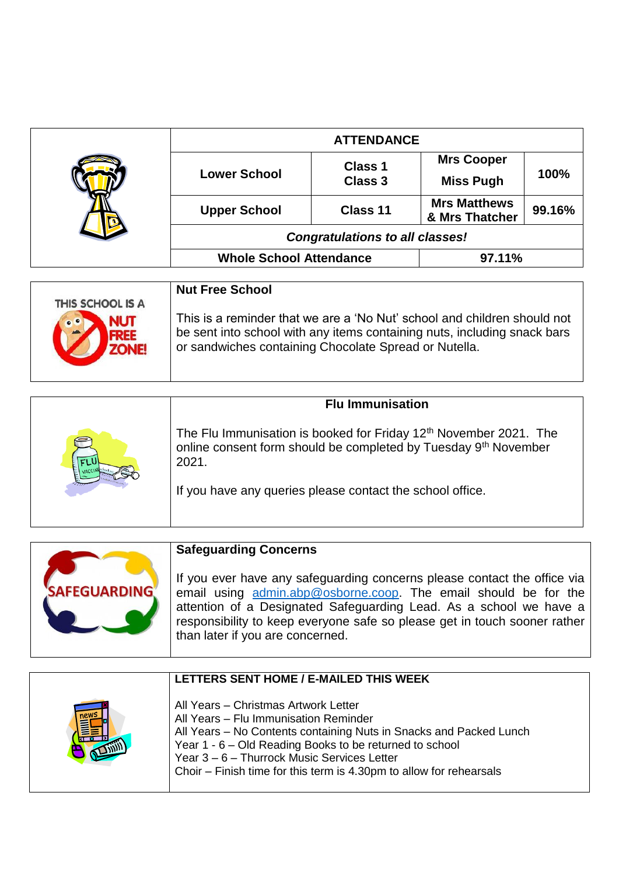|                                    | <b>ATTENDANCE</b>                                                        |                           |                                       |        |
|------------------------------------|--------------------------------------------------------------------------|---------------------------|---------------------------------------|--------|
|                                    | <b>Lower School</b>                                                      | Class 1<br><b>Class 3</b> | <b>Mrs Cooper</b><br><b>Miss Pugh</b> | 100%   |
|                                    | <b>Upper School</b>                                                      | Class 11                  | <b>Mrs Matthews</b><br>& Mrs Thatcher | 99.16% |
|                                    | <b>Congratulations to all classes!</b>                                   |                           |                                       |        |
|                                    | <b>Whole School Attendance</b>                                           |                           | 97.11%                                |        |
|                                    | <b>Nut Free School</b>                                                   |                           |                                       |        |
| THIS SCHOOL IS A<br>0 <sup>o</sup> | This is a reminder that we are a 'No Nut' school and children should not |                           |                                       |        |

| $\bigtriangledown$<br><b>NUI</b><br>$\blacktriangle$ FREE<br>ZONE! | $\frac{1}{100}$ . The contribution of the control of the control ding of individual $\frac{1}{100}$<br>be sent into school with any items containing nuts, including snack bars<br>or sandwiches containing Chocolate Spread or Nutella. |
|--------------------------------------------------------------------|------------------------------------------------------------------------------------------------------------------------------------------------------------------------------------------------------------------------------------------|
|                                                                    |                                                                                                                                                                                                                                          |

|   | <b>Flu Immunisation</b>                                                                                                                                                                                                            |  |
|---|------------------------------------------------------------------------------------------------------------------------------------------------------------------------------------------------------------------------------------|--|
| P | The Flu Immunisation is booked for Friday 12 <sup>th</sup> November 2021. The<br>online consent form should be completed by Tuesday 9 <sup>th</sup> November<br>2021.<br>If you have any queries please contact the school office. |  |



| LETTERS SENT HOME / E-MAILED THIS WEEK                                                                                                                                                                                                                                                                                               |
|--------------------------------------------------------------------------------------------------------------------------------------------------------------------------------------------------------------------------------------------------------------------------------------------------------------------------------------|
| All Years - Christmas Artwork Letter<br>All Years - Flu Immunisation Reminder<br>All Years - No Contents containing Nuts in Snacks and Packed Lunch<br>Year 1 - 6 - Old Reading Books to be returned to school<br>Year 3 - 6 - Thurrock Music Services Letter<br>Choir – Finish time for this term is 4.30pm to allow for rehearsals |